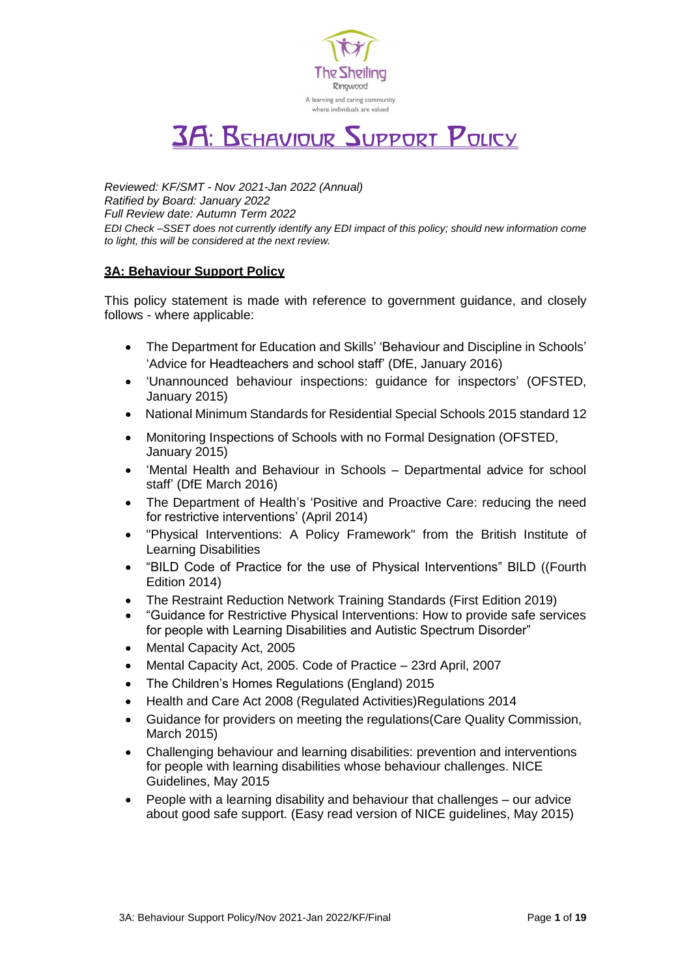

# 3A: Behaviour Support Policy

*Reviewed: KF/SMT - Nov 2021-Jan 2022 (Annual) Ratified by Board: January 2022 Full Review date: Autumn Term 2022 EDI Check –SSET does not currently identify any EDI impact of this policy; should new information come to light, this will be considered at the next review.*

## **3A: Behaviour Support Policy**

This policy statement is made with reference to government guidance, and closely follows - where applicable:

- The Department for Education and Skills' 'Behaviour and Discipline in Schools' 'Advice for Headteachers and school staff' (DfE, January 2016)
- 'Unannounced behaviour inspections: guidance for inspectors' (OFSTED, January 2015)
- National Minimum Standards for Residential Special Schools 2015 standard 12
- Monitoring Inspections of Schools with no Formal Designation (OFSTED, January 2015)
- 'Mental Health and Behaviour in Schools Departmental advice for school staff' (DfE March 2016)
- The Department of Health's 'Positive and Proactive Care: reducing the need for restrictive interventions' (April 2014)
- "Physical Interventions: A Policy Framework" from the British Institute of Learning Disabilities
- "BILD Code of Practice for the use of Physical Interventions" BILD ((Fourth Edition 2014)
- The Restraint Reduction Network Training [Standards](https://restraintreductionnetwork.org/wp-content/uploads/2020/04/RRN_Standards_1.2_Jan_2020.pdf) (First Edition 2019)
- "Guidance for Restrictive Physical Interventions: How to provide safe services for people with Learning Disabilities and Autistic Spectrum Disorder"
- Mental Capacity Act, 2005
- Mental Capacity Act, 2005. Code of Practice 23rd April, 2007
- The Children's Homes Regulations (England) 2015
- Health and Care Act 2008 (Regulated Activities)Regulations 2014
- Guidance for providers on meeting the regulations(Care Quality Commission, March 2015)
- Challenging behaviour and learning disabilities: prevention and interventions for people with learning disabilities whose behaviour challenges. NICE Guidelines, May 2015
- People with a learning disability and behaviour that challenges our advice about good safe support. (Easy read version of NICE guidelines, May 2015)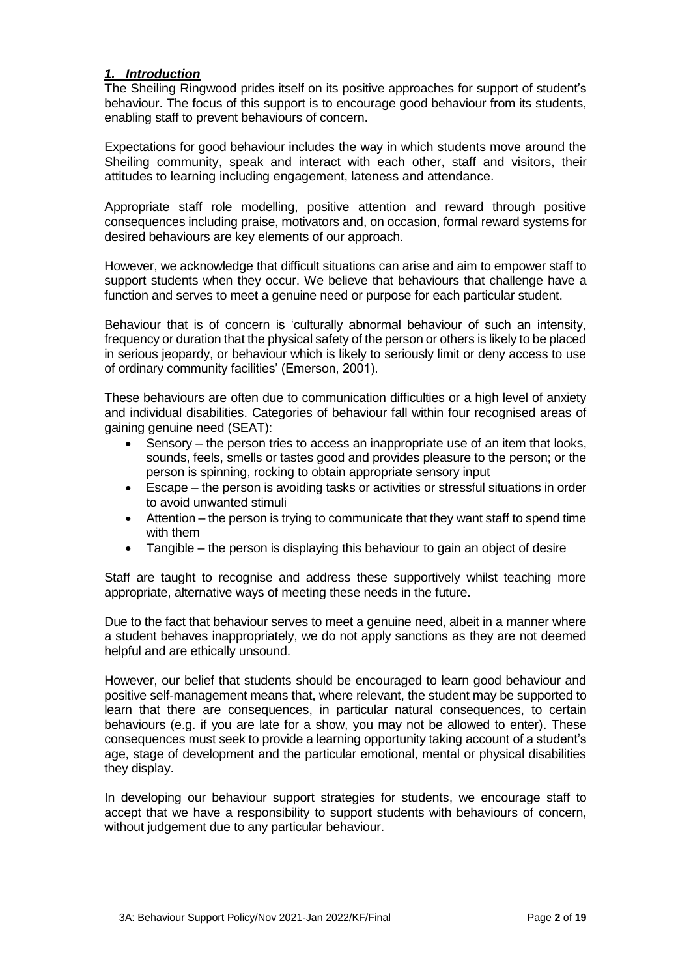## *1. Introduction*

The Sheiling Ringwood prides itself on its positive approaches for support of student's behaviour. The focus of this support is to encourage good behaviour from its students, enabling staff to prevent behaviours of concern.

Expectations for good behaviour includes the way in which students move around the Sheiling community, speak and interact with each other, staff and visitors, their attitudes to learning including engagement, lateness and attendance.

Appropriate staff role modelling, positive attention and reward through positive consequences including praise, motivators and, on occasion, formal reward systems for desired behaviours are key elements of our approach.

However, we acknowledge that difficult situations can arise and aim to empower staff to support students when they occur. We believe that behaviours that challenge have a function and serves to meet a genuine need or purpose for each particular student.

Behaviour that is of concern is 'culturally abnormal behaviour of such an intensity, frequency or duration that the physical safety of the person or others is likely to be placed in serious jeopardy, or behaviour which is likely to seriously limit or deny access to use of ordinary community facilities' (Emerson, 2001).

These behaviours are often due to communication difficulties or a high level of anxiety and individual disabilities. Categories of behaviour fall within four recognised areas of gaining genuine need (SEAT):

- Sensory the person tries to access an inappropriate use of an item that looks, sounds, feels, smells or tastes good and provides pleasure to the person; or the person is spinning, rocking to obtain appropriate sensory input
- Escape the person is avoiding tasks or activities or stressful situations in order to avoid unwanted stimuli
- Attention the person is trying to communicate that they want staff to spend time with them
- Tangible the person is displaying this behaviour to gain an object of desire

Staff are taught to recognise and address these supportively whilst teaching more appropriate, alternative ways of meeting these needs in the future.

Due to the fact that behaviour serves to meet a genuine need, albeit in a manner where a student behaves inappropriately, we do not apply sanctions as they are not deemed helpful and are ethically unsound.

However, our belief that students should be encouraged to learn good behaviour and positive self-management means that, where relevant, the student may be supported to learn that there are consequences, in particular natural consequences, to certain behaviours (e.g. if you are late for a show, you may not be allowed to enter). These consequences must seek to provide a learning opportunity taking account of a student's age, stage of development and the particular emotional, mental or physical disabilities they display.

In developing our behaviour support strategies for students, we encourage staff to accept that we have a responsibility to support students with behaviours of concern, without judgement due to any particular behaviour.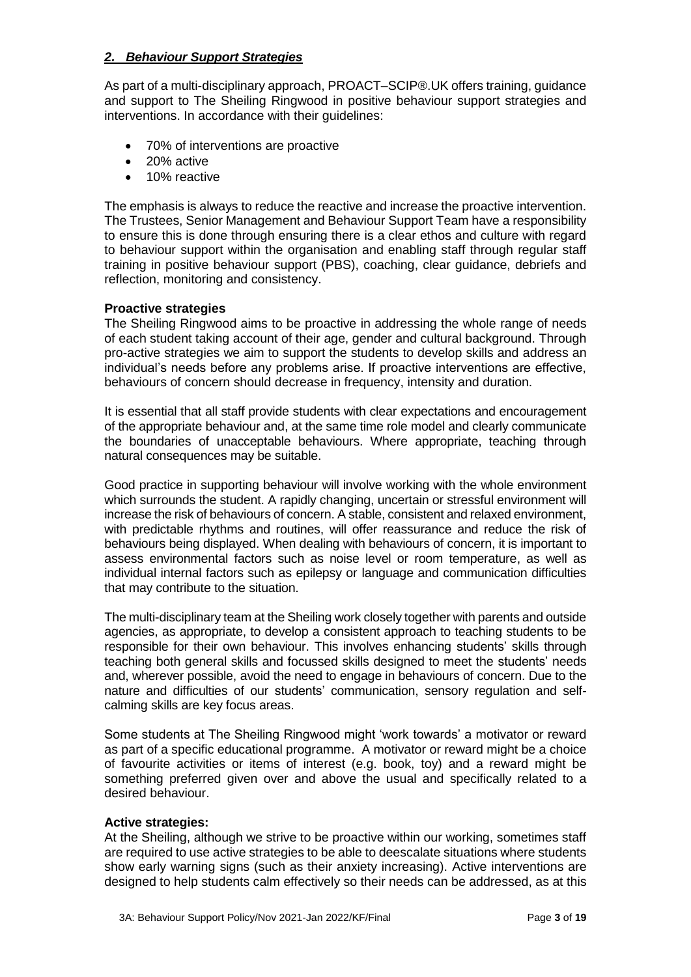## *2. Behaviour Support Strategies*

As part of a multi-disciplinary approach, PROACT–SCIP®.UK offers training, guidance and support to The Sheiling Ringwood in positive behaviour support strategies and interventions. In accordance with their guidelines:

- 70% of interventions are proactive
- 20% active
- 10% reactive

The emphasis is always to reduce the reactive and increase the proactive intervention. The Trustees, Senior Management and Behaviour Support Team have a responsibility to ensure this is done through ensuring there is a clear ethos and culture with regard to behaviour support within the organisation and enabling staff through regular staff training in positive behaviour support (PBS), coaching, clear guidance, debriefs and reflection, monitoring and consistency.

## **Proactive strategies**

The Sheiling Ringwood aims to be proactive in addressing the whole range of needs of each student taking account of their age, gender and cultural background. Through pro-active strategies we aim to support the students to develop skills and address an individual's needs before any problems arise. If proactive interventions are effective, behaviours of concern should decrease in frequency, intensity and duration.

It is essential that all staff provide students with clear expectations and encouragement of the appropriate behaviour and, at the same time role model and clearly communicate the boundaries of unacceptable behaviours. Where appropriate, teaching through natural consequences may be suitable.

Good practice in supporting behaviour will involve working with the whole environment which surrounds the student. A rapidly changing, uncertain or stressful environment will increase the risk of behaviours of concern. A stable, consistent and relaxed environment, with predictable rhythms and routines, will offer reassurance and reduce the risk of behaviours being displayed. When dealing with behaviours of concern, it is important to assess environmental factors such as noise level or room temperature, as well as individual internal factors such as epilepsy or language and communication difficulties that may contribute to the situation.

The multi-disciplinary team at the Sheiling work closely together with parents and outside agencies, as appropriate, to develop a consistent approach to teaching students to be responsible for their own behaviour. This involves enhancing students' skills through teaching both general skills and focussed skills designed to meet the students' needs and, wherever possible, avoid the need to engage in behaviours of concern. Due to the nature and difficulties of our students' communication, sensory regulation and selfcalming skills are key focus areas.

Some students at The Sheiling Ringwood might 'work towards' a motivator or reward as part of a specific educational programme. A motivator or reward might be a choice of favourite activities or items of interest (e.g. book, toy) and a reward might be something preferred given over and above the usual and specifically related to a desired behaviour.

## **Active strategies:**

At the Sheiling, although we strive to be proactive within our working, sometimes staff are required to use active strategies to be able to deescalate situations where students show early warning signs (such as their anxiety increasing). Active interventions are designed to help students calm effectively so their needs can be addressed, as at this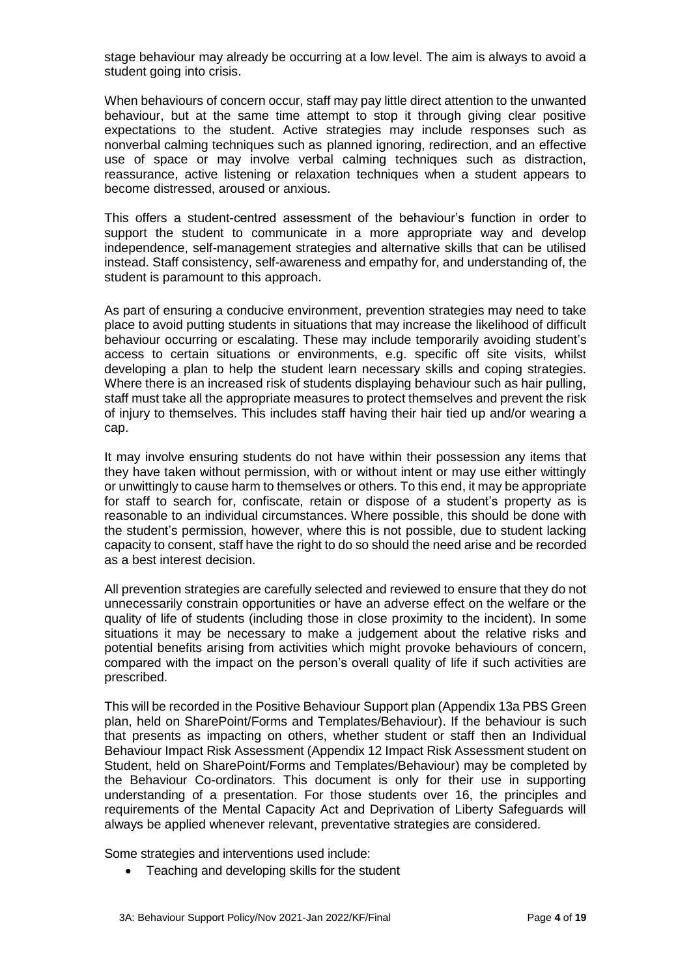stage behaviour may already be occurring at a low level. The aim is always to avoid a student going into crisis.

When behaviours of concern occur, staff may pay little direct attention to the unwanted behaviour, but at the same time attempt to stop it through giving clear positive expectations to the student. Active strategies may include responses such as nonverbal calming techniques such as planned ignoring, redirection, and an effective use of space or may involve verbal calming techniques such as distraction, reassurance, active listening or relaxation techniques when a student appears to become distressed, aroused or anxious.

This offers a student-centred assessment of the behaviour's function in order to support the student to communicate in a more appropriate way and develop independence, self-management strategies and alternative skills that can be utilised instead. Staff consistency, self-awareness and empathy for, and understanding of, the student is paramount to this approach.

As part of ensuring a conducive environment, prevention strategies may need to take place to avoid putting students in situations that may increase the likelihood of difficult behaviour occurring or escalating. These may include temporarily avoiding student's access to certain situations or environments, e.g. specific off site visits, whilst developing a plan to help the student learn necessary skills and coping strategies. Where there is an increased risk of students displaying behaviour such as hair pulling, staff must take all the appropriate measures to protect themselves and prevent the risk of injury to themselves. This includes staff having their hair tied up and/or wearing a cap.

It may involve ensuring students do not have within their possession any items that they have taken without permission, with or without intent or may use either wittingly or unwittingly to cause harm to themselves or others. To this end, it may be appropriate for staff to search for, confiscate, retain or dispose of a student's property as is reasonable to an individual circumstances. Where possible, this should be done with the student's permission, however, where this is not possible, due to student lacking capacity to consent, staff have the right to do so should the need arise and be recorded as a best interest decision.

All prevention strategies are carefully selected and reviewed to ensure that they do not unnecessarily constrain opportunities or have an adverse effect on the welfare or the quality of life of students (including those in close proximity to the incident). In some situations it may be necessary to make a judgement about the relative risks and potential benefits arising from activities which might provoke behaviours of concern, compared with the impact on the person's overall quality of life if such activities are prescribed.

This will be recorded in the Positive Behaviour Support plan (Appendix 13a PBS Green plan, held on SharePoint/Forms and Templates/Behaviour). If the behaviour is such that presents as impacting on others, whether student or staff then an Individual Behaviour Impact Risk Assessment (Appendix 12 Impact Risk Assessment student on Student, held on SharePoint/Forms and Templates/Behaviour) may be completed by the Behaviour Co-ordinators. This document is only for their use in supporting understanding of a presentation. For those students over 16, the principles and requirements of the Mental Capacity Act and Deprivation of Liberty Safeguards will always be applied whenever relevant, preventative strategies are considered.

Some strategies and interventions used include:

• Teaching and developing skills for the student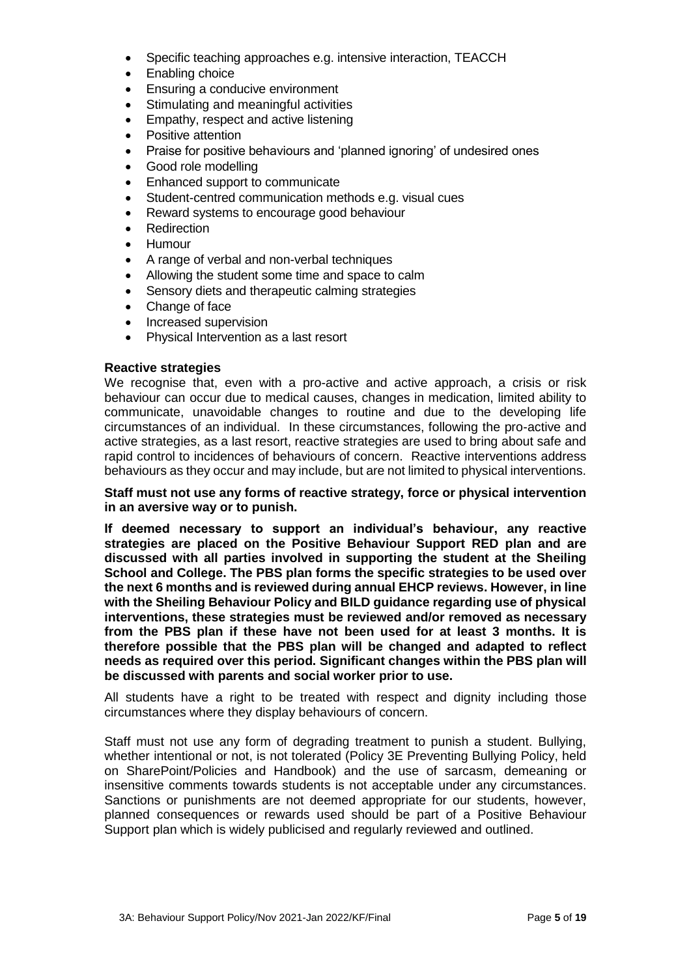- Specific teaching approaches e.g. intensive interaction, TEACCH
- Enabling choice
- Ensuring a conducive environment
- Stimulating and meaningful activities
- Empathy, respect and active listening
- Positive attention
- Praise for positive behaviours and 'planned ignoring' of undesired ones
- Good role modelling
- Enhanced support to communicate
- Student-centred communication methods e.g. visual cues
- Reward systems to encourage good behaviour
- **Redirection**
- Humour
- A range of verbal and non-verbal techniques
- Allowing the student some time and space to calm
- Sensory diets and therapeutic calming strategies
- Change of face
- Increased supervision
- Physical Intervention as a last resort

#### **Reactive strategies**

We recognise that, even with a pro-active and active approach, a crisis or risk behaviour can occur due to medical causes, changes in medication, limited ability to communicate, unavoidable changes to routine and due to the developing life circumstances of an individual. In these circumstances, following the pro-active and active strategies, as a last resort, reactive strategies are used to bring about safe and rapid control to incidences of behaviours of concern. Reactive interventions address behaviours as they occur and may include, but are not limited to physical interventions.

## **Staff must not use any forms of reactive strategy, force or physical intervention in an aversive way or to punish.**

**If deemed necessary to support an individual's behaviour, any reactive strategies are placed on the Positive Behaviour Support RED plan and are discussed with all parties involved in supporting the student at the Sheiling School and College. The PBS plan forms the specific strategies to be used over the next 6 months and is reviewed during annual EHCP reviews. However, in line with the Sheiling Behaviour Policy and BILD guidance regarding use of physical interventions, these strategies must be reviewed and/or removed as necessary from the PBS plan if these have not been used for at least 3 months. It is therefore possible that the PBS plan will be changed and adapted to reflect needs as required over this period. Significant changes within the PBS plan will be discussed with parents and social worker prior to use.**

All students have a right to be treated with respect and dignity including those circumstances where they display behaviours of concern.

Staff must not use any form of degrading treatment to punish a student. Bullying, whether intentional or not, is not tolerated (Policy 3E Preventing Bullying Policy, held on SharePoint/Policies and Handbook) and the use of sarcasm, demeaning or insensitive comments towards students is not acceptable under any circumstances. Sanctions or punishments are not deemed appropriate for our students, however, planned consequences or rewards used should be part of a Positive Behaviour Support plan which is widely publicised and regularly reviewed and outlined.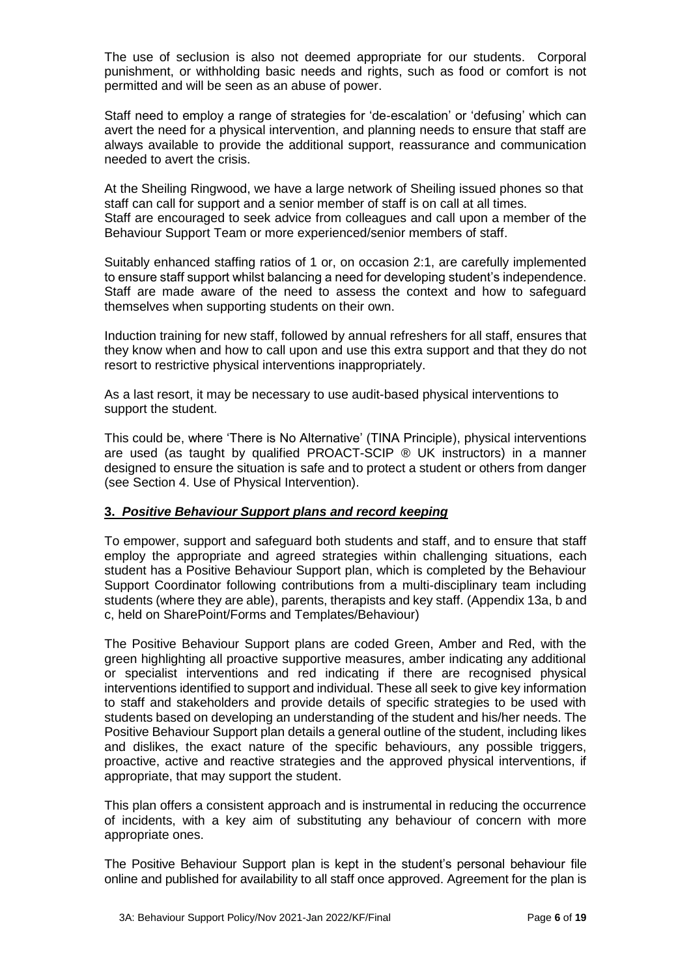The use of seclusion is also not deemed appropriate for our students. Corporal punishment, or withholding basic needs and rights, such as food or comfort is not permitted and will be seen as an abuse of power.

Staff need to employ a range of strategies for 'de-escalation' or 'defusing' which can avert the need for a physical intervention, and planning needs to ensure that staff are always available to provide the additional support, reassurance and communication needed to avert the crisis.

At the Sheiling Ringwood, we have a large network of Sheiling issued phones so that staff can call for support and a senior member of staff is on call at all times. Staff are encouraged to seek advice from colleagues and call upon a member of the Behaviour Support Team or more experienced/senior members of staff.

Suitably enhanced staffing ratios of 1 or, on occasion 2:1, are carefully implemented to ensure staff support whilst balancing a need for developing student's independence. Staff are made aware of the need to assess the context and how to safeguard themselves when supporting students on their own.

Induction training for new staff, followed by annual refreshers for all staff, ensures that they know when and how to call upon and use this extra support and that they do not resort to restrictive physical interventions inappropriately.

As a last resort, it may be necessary to use audit-based physical interventions to support the student.

This could be, where 'There is No Alternative' (TINA Principle), physical interventions are used (as taught by qualified PROACT-SCIP  $\circledR$  UK instructors) in a manner designed to ensure the situation is safe and to protect a student or others from danger (see Section 4. Use of Physical Intervention).

## **3.** *Positive Behaviour Support plans and record keeping*

To empower, support and safeguard both students and staff, and to ensure that staff employ the appropriate and agreed strategies within challenging situations, each student has a Positive Behaviour Support plan, which is completed by the Behaviour Support Coordinator following contributions from a multi-disciplinary team including students (where they are able), parents, therapists and key staff. (Appendix 13a, b and c, held on SharePoint/Forms and Templates/Behaviour)

The Positive Behaviour Support plans are coded Green, Amber and Red, with the green highlighting all proactive supportive measures, amber indicating any additional or specialist interventions and red indicating if there are recognised physical interventions identified to support and individual. These all seek to give key information to staff and stakeholders and provide details of specific strategies to be used with students based on developing an understanding of the student and his/her needs. The Positive Behaviour Support plan details a general outline of the student, including likes and dislikes, the exact nature of the specific behaviours, any possible triggers, proactive, active and reactive strategies and the approved physical interventions, if appropriate, that may support the student.

This plan offers a consistent approach and is instrumental in reducing the occurrence of incidents, with a key aim of substituting any behaviour of concern with more appropriate ones.

The Positive Behaviour Support plan is kept in the student's personal behaviour file online and published for availability to all staff once approved. Agreement for the plan is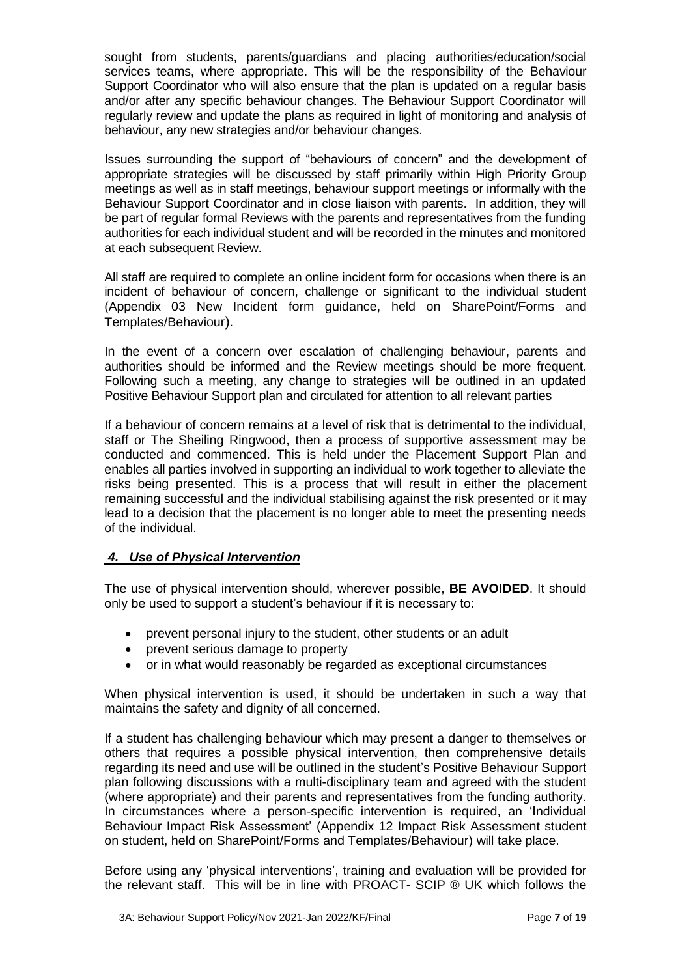sought from students, parents/guardians and placing authorities/education/social services teams, where appropriate. This will be the responsibility of the Behaviour Support Coordinator who will also ensure that the plan is updated on a regular basis and/or after any specific behaviour changes. The Behaviour Support Coordinator will regularly review and update the plans as required in light of monitoring and analysis of behaviour, any new strategies and/or behaviour changes.

Issues surrounding the support of "behaviours of concern" and the development of appropriate strategies will be discussed by staff primarily within High Priority Group meetings as well as in staff meetings, behaviour support meetings or informally with the Behaviour Support Coordinator and in close liaison with parents. In addition, they will be part of regular formal Reviews with the parents and representatives from the funding authorities for each individual student and will be recorded in the minutes and monitored at each subsequent Review.

All staff are required to complete an online incident form for occasions when there is an incident of behaviour of concern, challenge or significant to the individual student (Appendix 03 New Incident form guidance, held on SharePoint/Forms and Templates/Behaviour).

In the event of a concern over escalation of challenging behaviour, parents and authorities should be informed and the Review meetings should be more frequent. Following such a meeting, any change to strategies will be outlined in an updated Positive Behaviour Support plan and circulated for attention to all relevant parties

If a behaviour of concern remains at a level of risk that is detrimental to the individual, staff or The Sheiling Ringwood, then a process of supportive assessment may be conducted and commenced. This is held under the Placement Support Plan and enables all parties involved in supporting an individual to work together to alleviate the risks being presented. This is a process that will result in either the placement remaining successful and the individual stabilising against the risk presented or it may lead to a decision that the placement is no longer able to meet the presenting needs of the individual.

# *4. Use of Physical Intervention*

The use of physical intervention should, wherever possible, **BE AVOIDED**. It should only be used to support a student's behaviour if it is necessary to:

- prevent personal injury to the student, other students or an adult
- prevent serious damage to property
- or in what would reasonably be regarded as exceptional circumstances

When physical intervention is used, it should be undertaken in such a way that maintains the safety and dignity of all concerned.

If a student has challenging behaviour which may present a danger to themselves or others that requires a possible physical intervention, then comprehensive details regarding its need and use will be outlined in the student's Positive Behaviour Support plan following discussions with a multi-disciplinary team and agreed with the student (where appropriate) and their parents and representatives from the funding authority. In circumstances where a person-specific intervention is required, an 'Individual Behaviour Impact Risk Assessment' (Appendix 12 Impact Risk Assessment student on student, held on SharePoint/Forms and Templates/Behaviour) will take place.

Before using any 'physical interventions', training and evaluation will be provided for the relevant staff. This will be in line with PROACT- SCIP ® UK which follows the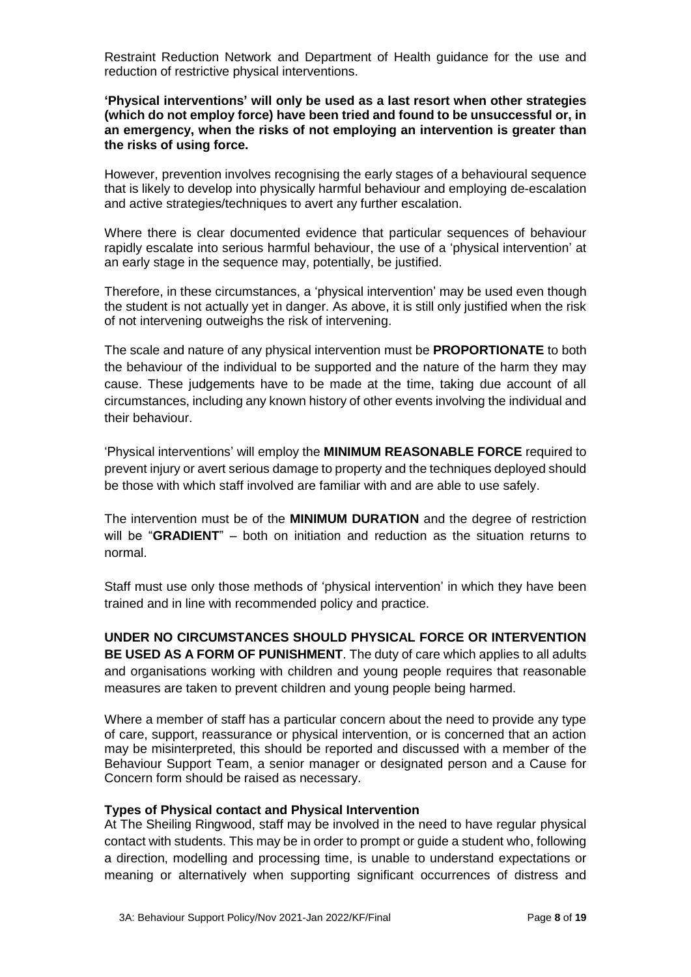Restraint Reduction Network and Department of Health guidance for the use and reduction of restrictive physical interventions.

## **'Physical interventions' will only be used as a last resort when other strategies (which do not employ force) have been tried and found to be unsuccessful or, in an emergency, when the risks of not employing an intervention is greater than the risks of using force.**

However, prevention involves recognising the early stages of a behavioural sequence that is likely to develop into physically harmful behaviour and employing de-escalation and active strategies/techniques to avert any further escalation.

Where there is clear documented evidence that particular sequences of behaviour rapidly escalate into serious harmful behaviour, the use of a 'physical intervention' at an early stage in the sequence may, potentially, be justified.

Therefore, in these circumstances, a 'physical intervention' may be used even though the student is not actually yet in danger. As above, it is still only justified when the risk of not intervening outweighs the risk of intervening.

The scale and nature of any physical intervention must be **PROPORTIONATE** to both the behaviour of the individual to be supported and the nature of the harm they may cause. These judgements have to be made at the time, taking due account of all circumstances, including any known history of other events involving the individual and their behaviour.

'Physical interventions' will employ the **MINIMUM REASONABLE FORCE** required to prevent injury or avert serious damage to property and the techniques deployed should be those with which staff involved are familiar with and are able to use safely.

The intervention must be of the **MINIMUM DURATION** and the degree of restriction will be "**GRADIENT**" – both on initiation and reduction as the situation returns to normal.

Staff must use only those methods of 'physical intervention' in which they have been trained and in line with recommended policy and practice.

**UNDER NO CIRCUMSTANCES SHOULD PHYSICAL FORCE OR INTERVENTION BE USED AS A FORM OF PUNISHMENT**. The duty of care which applies to all adults and organisations working with children and young people requires that reasonable measures are taken to prevent children and young people being harmed.

Where a member of staff has a particular concern about the need to provide any type of care, support, reassurance or physical intervention, or is concerned that an action may be misinterpreted, this should be reported and discussed with a member of the Behaviour Support Team, a senior manager or designated person and a Cause for Concern form should be raised as necessary.

## **Types of Physical contact and Physical Intervention**

At The Sheiling Ringwood, staff may be involved in the need to have regular physical contact with students. This may be in order to prompt or guide a student who, following a direction, modelling and processing time, is unable to understand expectations or meaning or alternatively when supporting significant occurrences of distress and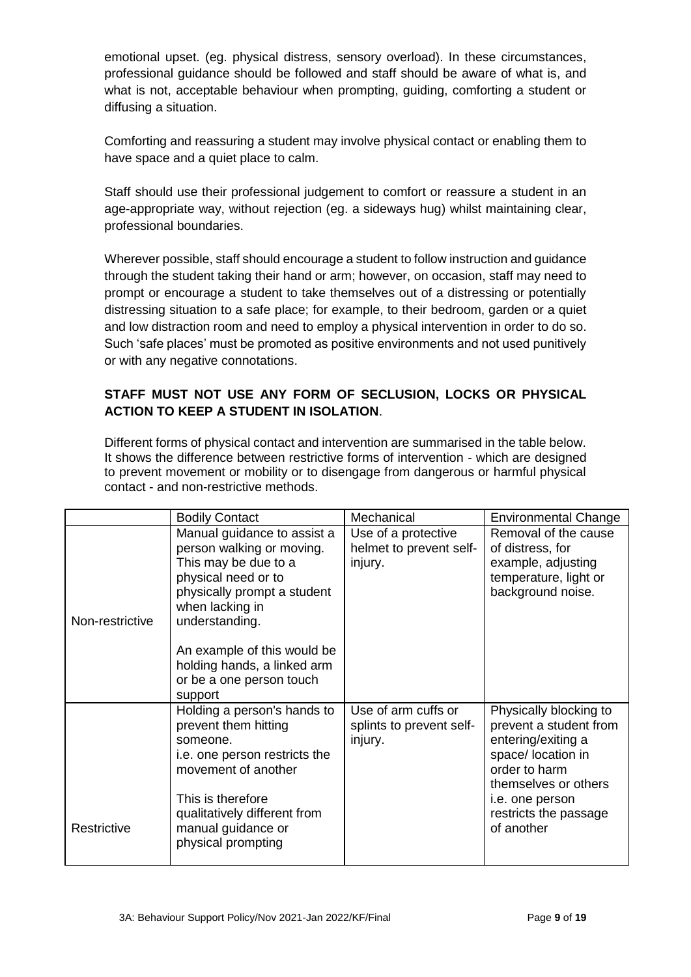emotional upset. (eg. physical distress, sensory overload). In these circumstances, professional guidance should be followed and staff should be aware of what is, and what is not, acceptable behaviour when prompting, guiding, comforting a student or diffusing a situation.

Comforting and reassuring a student may involve physical contact or enabling them to have space and a quiet place to calm.

Staff should use their professional judgement to comfort or reassure a student in an age-appropriate way, without rejection (eg. a sideways hug) whilst maintaining clear, professional boundaries.

Wherever possible, staff should encourage a student to follow instruction and guidance through the student taking their hand or arm; however, on occasion, staff may need to prompt or encourage a student to take themselves out of a distressing or potentially distressing situation to a safe place; for example, to their bedroom, garden or a quiet and low distraction room and need to employ a physical intervention in order to do so. Such 'safe places' must be promoted as positive environments and not used punitively or with any negative connotations.

# **STAFF MUST NOT USE ANY FORM OF SECLUSION, LOCKS OR PHYSICAL ACTION TO KEEP A STUDENT IN ISOLATION**.

Different forms of physical contact and intervention are summarised in the table below. It shows the difference between restrictive forms of intervention - which are designed to prevent movement or mobility or to disengage from dangerous or harmful physical contact - and non-restrictive methods.

|                 | <b>Bodily Contact</b>                                                                                                                                                                                                                                                 | Mechanical                                                 | <b>Environmental Change</b>                                                                                                                                                                     |
|-----------------|-----------------------------------------------------------------------------------------------------------------------------------------------------------------------------------------------------------------------------------------------------------------------|------------------------------------------------------------|-------------------------------------------------------------------------------------------------------------------------------------------------------------------------------------------------|
| Non-restrictive | Manual guidance to assist a<br>person walking or moving.<br>This may be due to a<br>physical need or to<br>physically prompt a student<br>when lacking in<br>understanding.<br>An example of this would be<br>holding hands, a linked arm<br>or be a one person touch | Use of a protective<br>helmet to prevent self-<br>injury.  | Removal of the cause<br>of distress, for<br>example, adjusting<br>temperature, light or<br>background noise.                                                                                    |
| Restrictive     | support<br>Holding a person's hands to<br>prevent them hitting<br>someone.<br>i.e. one person restricts the<br>movement of another<br>This is therefore<br>qualitatively different from<br>manual guidance or<br>physical prompting                                   | Use of arm cuffs or<br>splints to prevent self-<br>injury. | Physically blocking to<br>prevent a student from<br>entering/exiting a<br>space/ location in<br>order to harm<br>themselves or others<br>i.e. one person<br>restricts the passage<br>of another |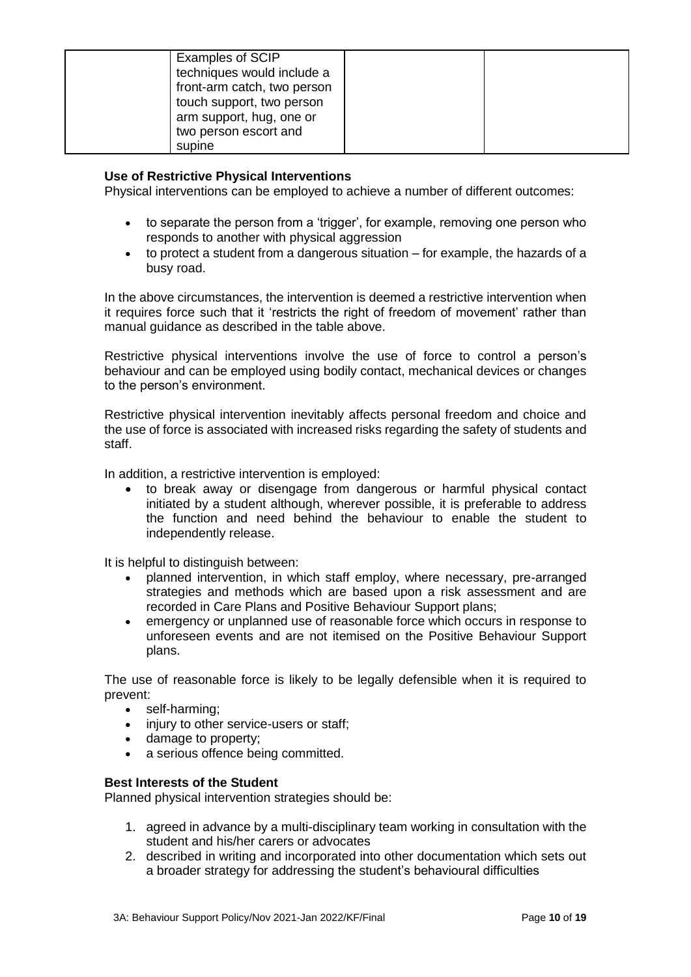| Examples of SCIP            |  |
|-----------------------------|--|
|                             |  |
| techniques would include a  |  |
| front-arm catch, two person |  |
| touch support, two person   |  |
| arm support, hug, one or    |  |
| two person escort and       |  |
| supine                      |  |

## **Use of Restrictive Physical Interventions**

Physical interventions can be employed to achieve a number of different outcomes:

- to separate the person from a 'trigger', for example, removing one person who responds to another with physical aggression
- to protect a student from a dangerous situation for example, the hazards of a busy road.

In the above circumstances, the intervention is deemed a restrictive intervention when it requires force such that it 'restricts the right of freedom of movement' rather than manual guidance as described in the table above.

Restrictive physical interventions involve the use of force to control a person's behaviour and can be employed using bodily contact, mechanical devices or changes to the person's environment.

Restrictive physical intervention inevitably affects personal freedom and choice and the use of force is associated with increased risks regarding the safety of students and staff.

In addition, a restrictive intervention is employed:

 to break away or disengage from dangerous or harmful physical contact initiated by a student although, wherever possible, it is preferable to address the function and need behind the behaviour to enable the student to independently release.

It is helpful to distinguish between:

- planned intervention, in which staff employ, where necessary, pre-arranged strategies and methods which are based upon a risk assessment and are recorded in Care Plans and Positive Behaviour Support plans;
- emergency or unplanned use of reasonable force which occurs in response to unforeseen events and are not itemised on the Positive Behaviour Support plans.

The use of reasonable force is likely to be legally defensible when it is required to prevent:

- self-harming:
- injury to other service-users or staff:
- damage to property;
- a serious offence being committed.

## **Best Interests of the Student**

Planned physical intervention strategies should be:

- 1. agreed in advance by a multi-disciplinary team working in consultation with the student and his/her carers or advocates
- 2. described in writing and incorporated into other documentation which sets out a broader strategy for addressing the student's behavioural difficulties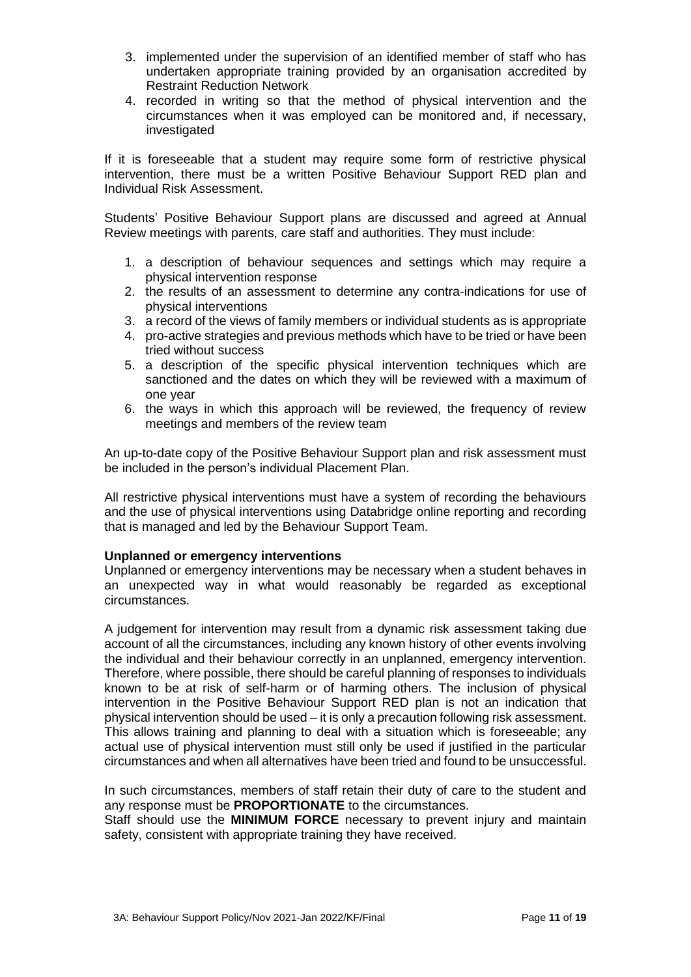- 3. implemented under the supervision of an identified member of staff who has undertaken appropriate training provided by an organisation accredited by Restraint Reduction Network
- 4. recorded in writing so that the method of physical intervention and the circumstances when it was employed can be monitored and, if necessary, investigated

If it is foreseeable that a student may require some form of restrictive physical intervention, there must be a written Positive Behaviour Support RED plan and Individual Risk Assessment.

Students' Positive Behaviour Support plans are discussed and agreed at Annual Review meetings with parents, care staff and authorities. They must include:

- 1. a description of behaviour sequences and settings which may require a physical intervention response
- 2. the results of an assessment to determine any contra-indications for use of physical interventions
- 3. a record of the views of family members or individual students as is appropriate
- 4. pro-active strategies and previous methods which have to be tried or have been tried without success
- 5. a description of the specific physical intervention techniques which are sanctioned and the dates on which they will be reviewed with a maximum of one year
- 6. the ways in which this approach will be reviewed, the frequency of review meetings and members of the review team

An up-to-date copy of the Positive Behaviour Support plan and risk assessment must be included in the person's individual Placement Plan.

All restrictive physical interventions must have a system of recording the behaviours and the use of physical interventions using Databridge online reporting and recording that is managed and led by the Behaviour Support Team.

## **Unplanned or emergency interventions**

Unplanned or emergency interventions may be necessary when a student behaves in an unexpected way in what would reasonably be regarded as exceptional circumstances.

A judgement for intervention may result from a dynamic risk assessment taking due account of all the circumstances, including any known history of other events involving the individual and their behaviour correctly in an unplanned, emergency intervention. Therefore, where possible, there should be careful planning of responses to individuals known to be at risk of self-harm or of harming others. The inclusion of physical intervention in the Positive Behaviour Support RED plan is not an indication that physical intervention should be used – it is only a precaution following risk assessment. This allows training and planning to deal with a situation which is foreseeable; any actual use of physical intervention must still only be used if justified in the particular circumstances and when all alternatives have been tried and found to be unsuccessful.

In such circumstances, members of staff retain their duty of care to the student and any response must be **PROPORTIONATE** to the circumstances.

Staff should use the **MINIMUM FORCE** necessary to prevent injury and maintain safety, consistent with appropriate training they have received.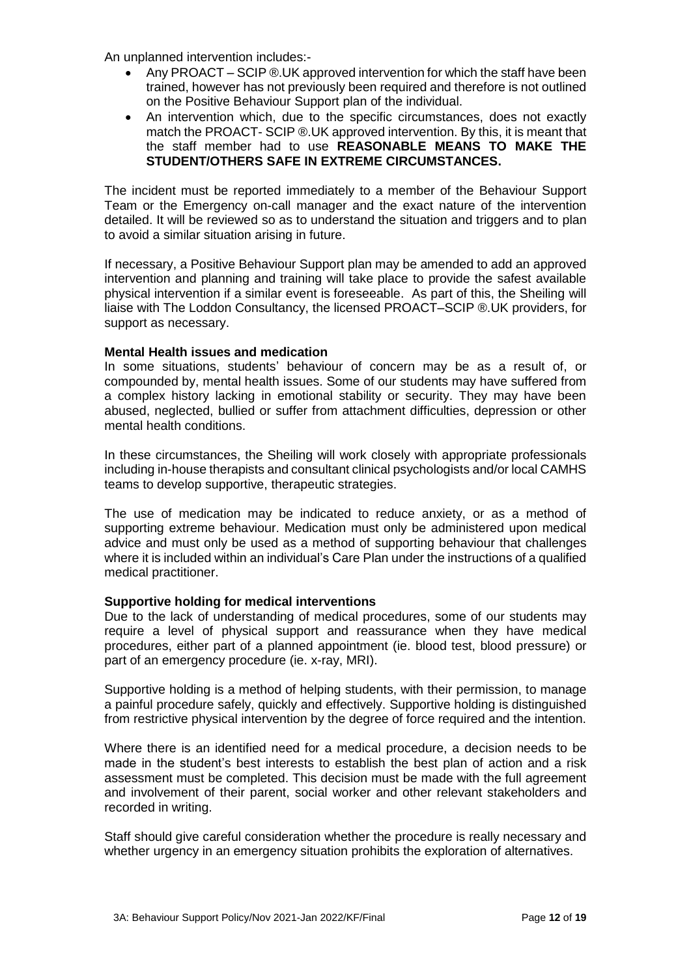An unplanned intervention includes:-

- Any PROACT SCIP ®.UK approved intervention for which the staff have been trained, however has not previously been required and therefore is not outlined on the Positive Behaviour Support plan of the individual.
- An intervention which, due to the specific circumstances, does not exactly match the PROACT- SCIP ®.UK approved intervention. By this, it is meant that the staff member had to use **REASONABLE MEANS TO MAKE THE STUDENT/OTHERS SAFE IN EXTREME CIRCUMSTANCES.**

The incident must be reported immediately to a member of the Behaviour Support Team or the Emergency on-call manager and the exact nature of the intervention detailed. It will be reviewed so as to understand the situation and triggers and to plan to avoid a similar situation arising in future.

If necessary, a Positive Behaviour Support plan may be amended to add an approved intervention and planning and training will take place to provide the safest available physical intervention if a similar event is foreseeable. As part of this, the Sheiling will liaise with The Loddon Consultancy, the licensed PROACT–SCIP ®.UK providers, for support as necessary.

## **Mental Health issues and medication**

In some situations, students' behaviour of concern may be as a result of, or compounded by, mental health issues. Some of our students may have suffered from a complex history lacking in emotional stability or security. They may have been abused, neglected, bullied or suffer from attachment difficulties, depression or other mental health conditions.

In these circumstances, the Sheiling will work closely with appropriate professionals including in-house therapists and consultant clinical psychologists and/or local CAMHS teams to develop supportive, therapeutic strategies.

The use of medication may be indicated to reduce anxiety, or as a method of supporting extreme behaviour. Medication must only be administered upon medical advice and must only be used as a method of supporting behaviour that challenges where it is included within an individual's Care Plan under the instructions of a qualified medical practitioner.

## **Supportive holding for medical interventions**

Due to the lack of understanding of medical procedures, some of our students may require a level of physical support and reassurance when they have medical procedures, either part of a planned appointment (ie. blood test, blood pressure) or part of an emergency procedure (ie. x-ray, MRI).

Supportive holding is a method of helping students, with their permission, to manage a painful procedure safely, quickly and effectively. Supportive holding is distinguished from restrictive physical intervention by the degree of force required and the intention.

Where there is an identified need for a medical procedure, a decision needs to be made in the student's best interests to establish the best plan of action and a risk assessment must be completed. This decision must be made with the full agreement and involvement of their parent, social worker and other relevant stakeholders and recorded in writing.

Staff should give careful consideration whether the procedure is really necessary and whether urgency in an emergency situation prohibits the exploration of alternatives.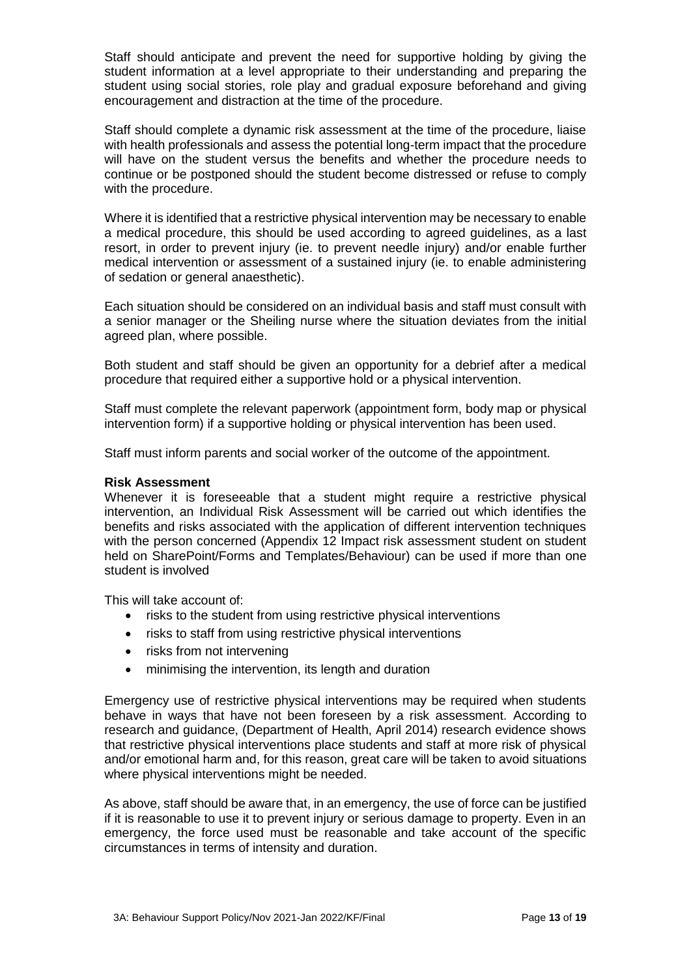Staff should anticipate and prevent the need for supportive holding by giving the student information at a level appropriate to their understanding and preparing the student using social stories, role play and gradual exposure beforehand and giving encouragement and distraction at the time of the procedure.

Staff should complete a dynamic risk assessment at the time of the procedure, liaise with health professionals and assess the potential long-term impact that the procedure will have on the student versus the benefits and whether the procedure needs to continue or be postponed should the student become distressed or refuse to comply with the procedure.

Where it is identified that a restrictive physical intervention may be necessary to enable a medical procedure, this should be used according to agreed guidelines, as a last resort, in order to prevent injury (ie. to prevent needle injury) and/or enable further medical intervention or assessment of a sustained injury (ie. to enable administering of sedation or general anaesthetic).

Each situation should be considered on an individual basis and staff must consult with a senior manager or the Sheiling nurse where the situation deviates from the initial agreed plan, where possible.

Both student and staff should be given an opportunity for a debrief after a medical procedure that required either a supportive hold or a physical intervention.

Staff must complete the relevant paperwork (appointment form, body map or physical intervention form) if a supportive holding or physical intervention has been used.

Staff must inform parents and social worker of the outcome of the appointment.

## **Risk Assessment**

Whenever it is foreseeable that a student might require a restrictive physical intervention, an Individual Risk Assessment will be carried out which identifies the benefits and risks associated with the application of different intervention techniques with the person concerned (Appendix 12 Impact risk assessment student on student held on SharePoint/Forms and Templates/Behaviour) can be used if more than one student is involved

This will take account of:

- risks to the student from using restrictive physical interventions
- risks to staff from using restrictive physical interventions
- risks from not intervening
- minimising the intervention, its length and duration

Emergency use of restrictive physical interventions may be required when students behave in ways that have not been foreseen by a risk assessment. According to research and guidance, (Department of Health, April 2014) research evidence shows that restrictive physical interventions place students and staff at more risk of physical and/or emotional harm and, for this reason, great care will be taken to avoid situations where physical interventions might be needed.

As above, staff should be aware that, in an emergency, the use of force can be justified if it is reasonable to use it to prevent injury or serious damage to property. Even in an emergency, the force used must be reasonable and take account of the specific circumstances in terms of intensity and duration.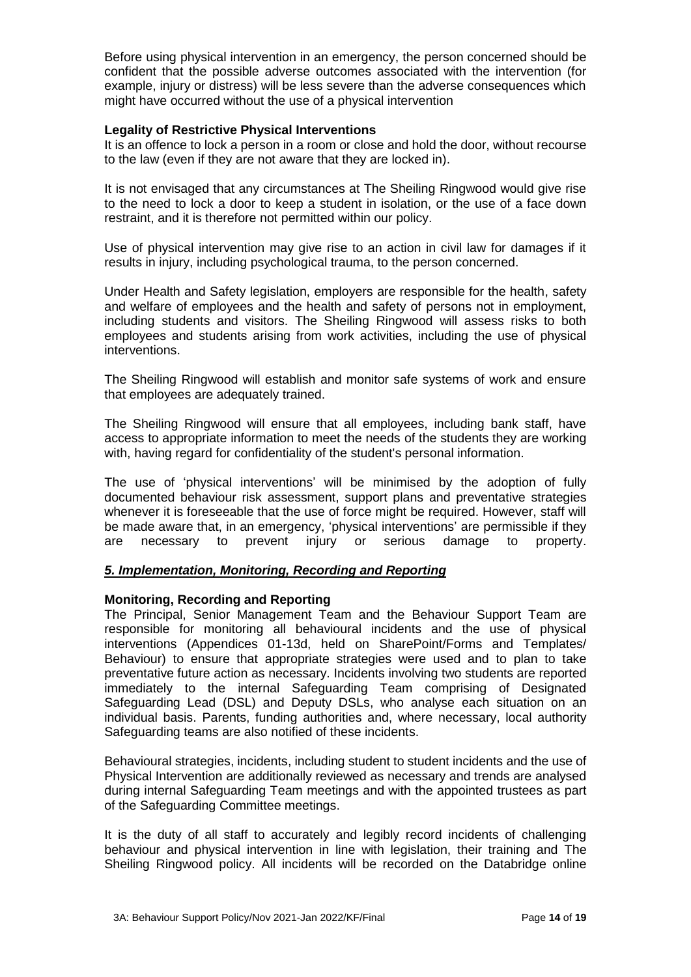Before using physical intervention in an emergency, the person concerned should be confident that the possible adverse outcomes associated with the intervention (for example, injury or distress) will be less severe than the adverse consequences which might have occurred without the use of a physical intervention

## **Legality of Restrictive Physical Interventions**

It is an offence to lock a person in a room or close and hold the door, without recourse to the law (even if they are not aware that they are locked in).

It is not envisaged that any circumstances at The Sheiling Ringwood would give rise to the need to lock a door to keep a student in isolation, or the use of a face down restraint, and it is therefore not permitted within our policy.

Use of physical intervention may give rise to an action in civil law for damages if it results in injury, including psychological trauma, to the person concerned.

Under Health and Safety legislation, employers are responsible for the health, safety and welfare of employees and the health and safety of persons not in employment, including students and visitors. The Sheiling Ringwood will assess risks to both employees and students arising from work activities, including the use of physical interventions.

The Sheiling Ringwood will establish and monitor safe systems of work and ensure that employees are adequately trained.

The Sheiling Ringwood will ensure that all employees, including bank staff, have access to appropriate information to meet the needs of the students they are working with, having regard for confidentiality of the student's personal information.

The use of 'physical interventions' will be minimised by the adoption of fully documented behaviour risk assessment, support plans and preventative strategies whenever it is foreseeable that the use of force might be required. However, staff will be made aware that, in an emergency, 'physical interventions' are permissible if they are necessary to prevent injury or serious damage to property.

## *5. Implementation, Monitoring, Recording and Reporting*

## **Monitoring, Recording and Reporting**

The Principal, Senior Management Team and the Behaviour Support Team are responsible for monitoring all behavioural incidents and the use of physical interventions (Appendices 01-13d, held on SharePoint/Forms and Templates/ Behaviour) to ensure that appropriate strategies were used and to plan to take preventative future action as necessary. Incidents involving two students are reported immediately to the internal Safeguarding Team comprising of Designated Safeguarding Lead (DSL) and Deputy DSLs, who analyse each situation on an individual basis. Parents, funding authorities and, where necessary, local authority Safeguarding teams are also notified of these incidents.

Behavioural strategies, incidents, including student to student incidents and the use of Physical Intervention are additionally reviewed as necessary and trends are analysed during internal Safeguarding Team meetings and with the appointed trustees as part of the Safeguarding Committee meetings.

It is the duty of all staff to accurately and legibly record incidents of challenging behaviour and physical intervention in line with legislation, their training and The Sheiling Ringwood policy. All incidents will be recorded on the Databridge online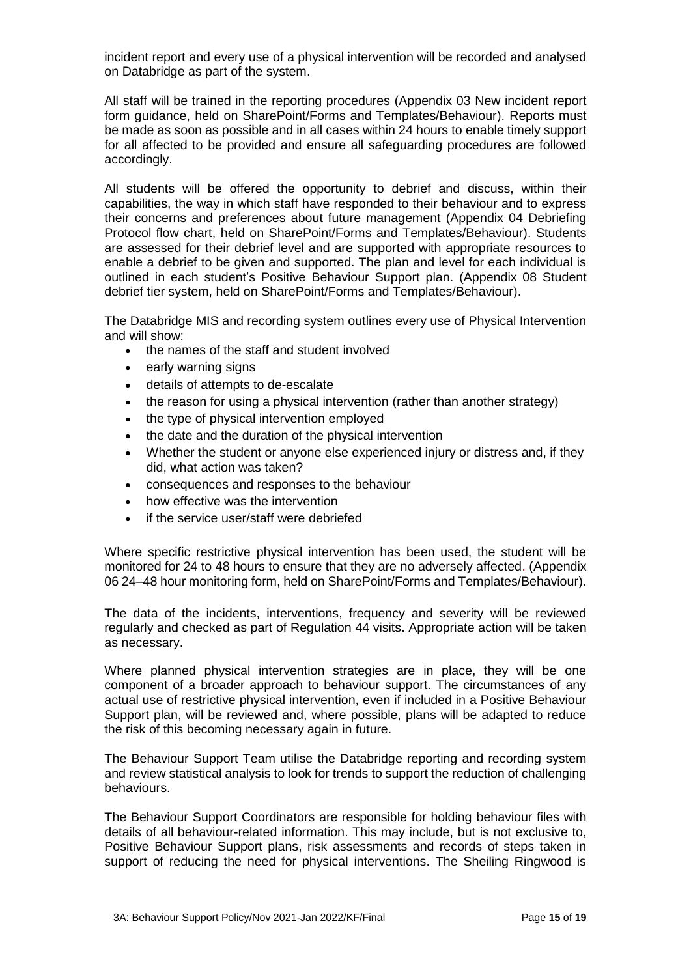incident report and every use of a physical intervention will be recorded and analysed on Databridge as part of the system.

All staff will be trained in the reporting procedures (Appendix 03 New incident report form guidance, held on SharePoint/Forms and Templates/Behaviour). Reports must be made as soon as possible and in all cases within 24 hours to enable timely support for all affected to be provided and ensure all safeguarding procedures are followed accordingly.

All students will be offered the opportunity to debrief and discuss, within their capabilities, the way in which staff have responded to their behaviour and to express their concerns and preferences about future management (Appendix 04 Debriefing Protocol flow chart, held on SharePoint/Forms and Templates/Behaviour). Students are assessed for their debrief level and are supported with appropriate resources to enable a debrief to be given and supported. The plan and level for each individual is outlined in each student's Positive Behaviour Support plan. (Appendix 08 Student debrief tier system, held on SharePoint/Forms and Templates/Behaviour).

The Databridge MIS and recording system outlines every use of Physical Intervention and will show:

- the names of the staff and student involved
- early warning signs
- details of attempts to de-escalate
- the reason for using a physical intervention (rather than another strategy)
- the type of physical intervention employed
- the date and the duration of the physical intervention
- Whether the student or anyone else experienced injury or distress and, if they did, what action was taken?
- consequences and responses to the behaviour
- how effective was the intervention
- if the service user/staff were debriefed

Where specific restrictive physical intervention has been used, the student will be monitored for 24 to 48 hours to ensure that they are no adversely affected. (Appendix 06 24–48 hour monitoring form, held on SharePoint/Forms and Templates/Behaviour).

The data of the incidents, interventions, frequency and severity will be reviewed regularly and checked as part of Regulation 44 visits. Appropriate action will be taken as necessary.

Where planned physical intervention strategies are in place, they will be one component of a broader approach to behaviour support. The circumstances of any actual use of restrictive physical intervention, even if included in a Positive Behaviour Support plan, will be reviewed and, where possible, plans will be adapted to reduce the risk of this becoming necessary again in future.

The Behaviour Support Team utilise the Databridge reporting and recording system and review statistical analysis to look for trends to support the reduction of challenging behaviours.

The Behaviour Support Coordinators are responsible for holding behaviour files with details of all behaviour-related information. This may include, but is not exclusive to, Positive Behaviour Support plans, risk assessments and records of steps taken in support of reducing the need for physical interventions. The Sheiling Ringwood is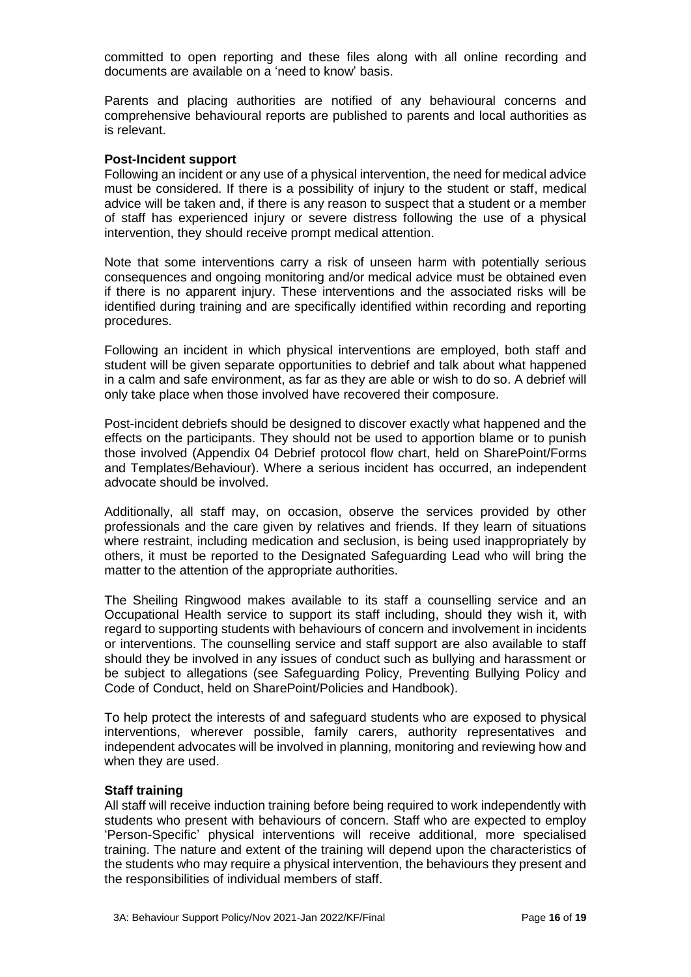committed to open reporting and these files along with all online recording and documents are available on a 'need to know' basis.

Parents and placing authorities are notified of any behavioural concerns and comprehensive behavioural reports are published to parents and local authorities as is relevant.

#### **Post-Incident support**

Following an incident or any use of a physical intervention, the need for medical advice must be considered. If there is a possibility of injury to the student or staff, medical advice will be taken and, if there is any reason to suspect that a student or a member of staff has experienced injury or severe distress following the use of a physical intervention, they should receive prompt medical attention.

Note that some interventions carry a risk of unseen harm with potentially serious consequences and ongoing monitoring and/or medical advice must be obtained even if there is no apparent injury. These interventions and the associated risks will be identified during training and are specifically identified within recording and reporting procedures.

Following an incident in which physical interventions are employed, both staff and student will be given separate opportunities to debrief and talk about what happened in a calm and safe environment, as far as they are able or wish to do so. A debrief will only take place when those involved have recovered their composure.

Post-incident debriefs should be designed to discover exactly what happened and the effects on the participants. They should not be used to apportion blame or to punish those involved (Appendix 04 Debrief protocol flow chart, held on SharePoint/Forms and Templates/Behaviour). Where a serious incident has occurred, an independent advocate should be involved.

Additionally, all staff may, on occasion, observe the services provided by other professionals and the care given by relatives and friends. If they learn of situations where restraint, including medication and seclusion, is being used inappropriately by others, it must be reported to the Designated Safeguarding Lead who will bring the matter to the attention of the appropriate authorities.

The Sheiling Ringwood makes available to its staff a counselling service and an Occupational Health service to support its staff including, should they wish it, with regard to supporting students with behaviours of concern and involvement in incidents or interventions. The counselling service and staff support are also available to staff should they be involved in any issues of conduct such as bullying and harassment or be subject to allegations (see Safeguarding Policy, Preventing Bullying Policy and Code of Conduct, held on SharePoint/Policies and Handbook).

To help protect the interests of and safeguard students who are exposed to physical interventions, wherever possible, family carers, authority representatives and independent advocates will be involved in planning, monitoring and reviewing how and when they are used.

## **Staff training**

All staff will receive induction training before being required to work independently with students who present with behaviours of concern. Staff who are expected to employ 'Person-Specific' physical interventions will receive additional, more specialised training. The nature and extent of the training will depend upon the characteristics of the students who may require a physical intervention, the behaviours they present and the responsibilities of individual members of staff.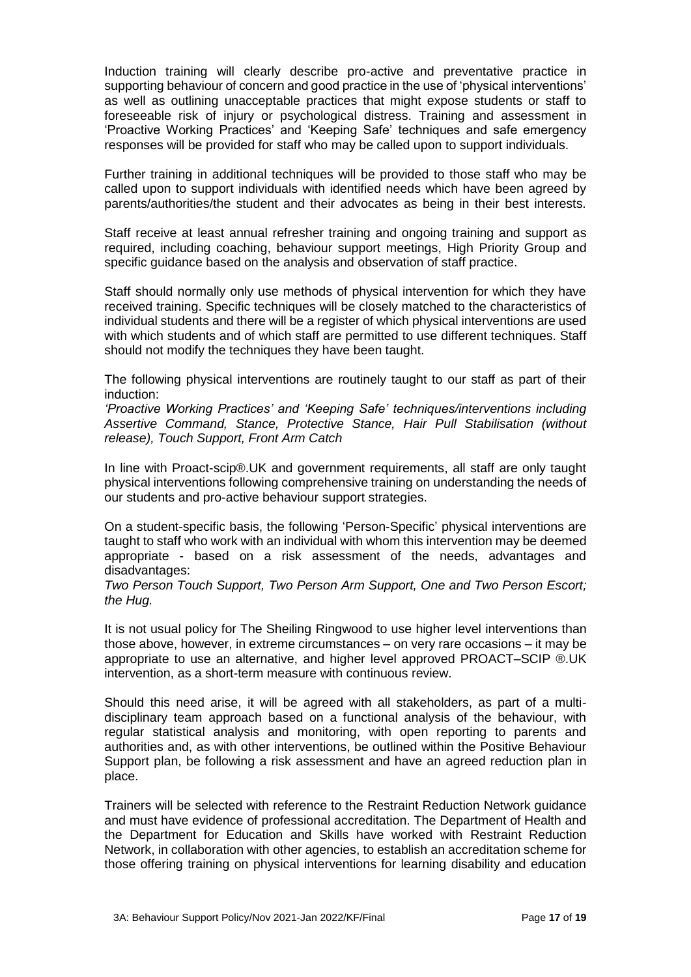Induction training will clearly describe pro-active and preventative practice in supporting behaviour of concern and good practice in the use of 'physical interventions' as well as outlining unacceptable practices that might expose students or staff to foreseeable risk of injury or psychological distress. Training and assessment in 'Proactive Working Practices' and 'Keeping Safe' techniques and safe emergency responses will be provided for staff who may be called upon to support individuals.

Further training in additional techniques will be provided to those staff who may be called upon to support individuals with identified needs which have been agreed by parents/authorities/the student and their advocates as being in their best interests.

Staff receive at least annual refresher training and ongoing training and support as required, including coaching, behaviour support meetings, High Priority Group and specific guidance based on the analysis and observation of staff practice.

Staff should normally only use methods of physical intervention for which they have received training. Specific techniques will be closely matched to the characteristics of individual students and there will be a register of which physical interventions are used with which students and of which staff are permitted to use different techniques. Staff should not modify the techniques they have been taught.

The following physical interventions are routinely taught to our staff as part of their induction:

*'Proactive Working Practices' and 'Keeping Safe' techniques/interventions including Assertive Command, Stance, Protective Stance, Hair Pull Stabilisation (without release), Touch Support, Front Arm Catch*

In line with Proact-scip®.UK and government requirements, all staff are only taught physical interventions following comprehensive training on understanding the needs of our students and pro-active behaviour support strategies.

On a student-specific basis, the following 'Person-Specific' physical interventions are taught to staff who work with an individual with whom this intervention may be deemed appropriate - based on a risk assessment of the needs, advantages and disadvantages:

*Two Person Touch Support, Two Person Arm Support, One and Two Person Escort; the Hug.*

It is not usual policy for The Sheiling Ringwood to use higher level interventions than those above, however, in extreme circumstances – on very rare occasions – it may be appropriate to use an alternative, and higher level approved PROACT–SCIP ®.UK intervention, as a short-term measure with continuous review.

Should this need arise, it will be agreed with all stakeholders, as part of a multidisciplinary team approach based on a functional analysis of the behaviour, with regular statistical analysis and monitoring, with open reporting to parents and authorities and, as with other interventions, be outlined within the Positive Behaviour Support plan, be following a risk assessment and have an agreed reduction plan in place.

Trainers will be selected with reference to the Restraint Reduction Network guidance and must have evidence of professional accreditation. The Department of Health and the Department for Education and Skills have worked with Restraint Reduction Network, in collaboration with other agencies, to establish an accreditation scheme for those offering training on physical interventions for learning disability and education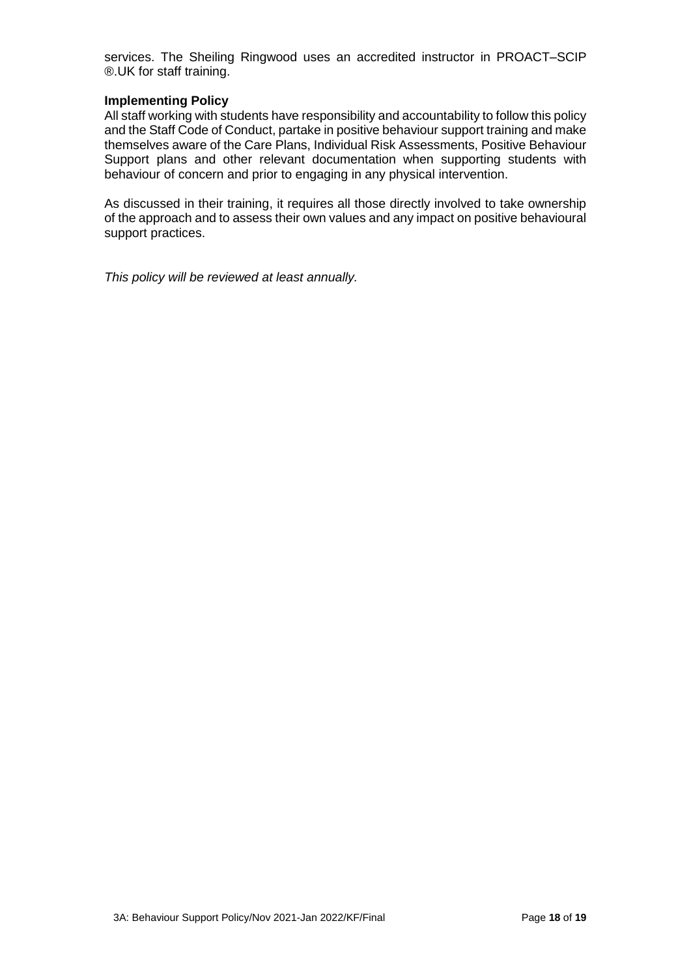services. The Sheiling Ringwood uses an accredited instructor in PROACT–SCIP ®.UK for staff training.

## **Implementing Policy**

All staff working with students have responsibility and accountability to follow this policy and the Staff Code of Conduct, partake in positive behaviour support training and make themselves aware of the Care Plans, Individual Risk Assessments, Positive Behaviour Support plans and other relevant documentation when supporting students with behaviour of concern and prior to engaging in any physical intervention.

As discussed in their training, it requires all those directly involved to take ownership of the approach and to assess their own values and any impact on positive behavioural support practices.

*This policy will be reviewed at least annually.*